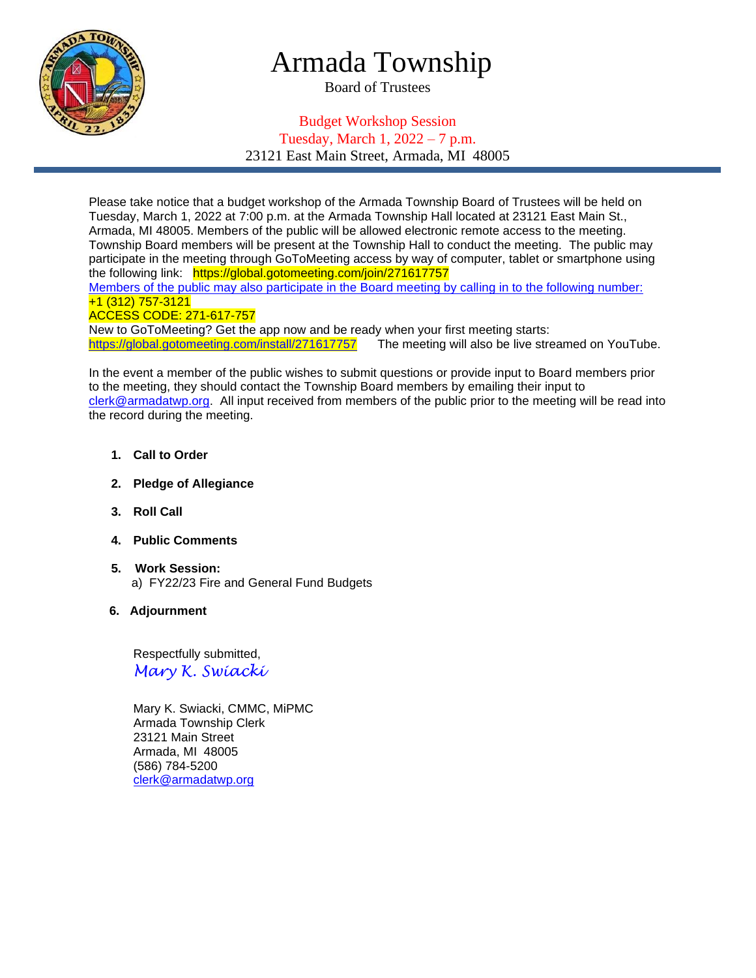

# Armada Township

Board of Trustees

## Budget Workshop Session Tuesday, March 1, 2022 – 7 p.m. 23121 East Main Street, Armada, MI 48005

Please take notice that a budget workshop of the Armada Township Board of Trustees will be held on Tuesday, March 1, 2022 at 7:00 p.m. at the Armada Township Hall located at 23121 East Main St., Armada, MI 48005. Members of the public will be allowed electronic remote access to the meeting. Township Board members will be present at the Township Hall to conduct the meeting. The public may participate in the meeting through GoToMeeting access by way of computer, tablet or smartphone using the following link: https://global.gotomeeting.com/join/271617757

Members of the public may also participate in the Board meeting by calling in to the following number: +1 (312) 757-3121

#### ACCESS CODE: 271-617-757

New to GoToMeeting? Get the app now and be ready when your first meeting starts: <https://global.gotomeeting.com/install/271617757>The meeting will also be live streamed on YouTube.

In the event a member of the public wishes to submit questions or provide input to Board members prior to the meeting, they should contact the Township Board members by emailing their input to [clerk@armadatwp.org.](mailto:clerk@armadatwp.org) All input received from members of the public prior to the meeting will be read into the record during the meeting.

- **1. Call to Order**
- **2. Pledge of Allegiance**
- **3. Roll Call**
- **4. Public Comments**
- **5. Work Session:**  a) FY22/23 Fire and General Fund Budgets
- **6. Adjournment**

 Respectfully submitted, *Mary K. Swiacki*

 Mary K. Swiacki, CMMC, MiPMC Armada Township Clerk 23121 Main Street Armada, MI 48005 (586) 784-5200 [clerk@armadatwp.org](mailto:clerk@armadatwp.org)